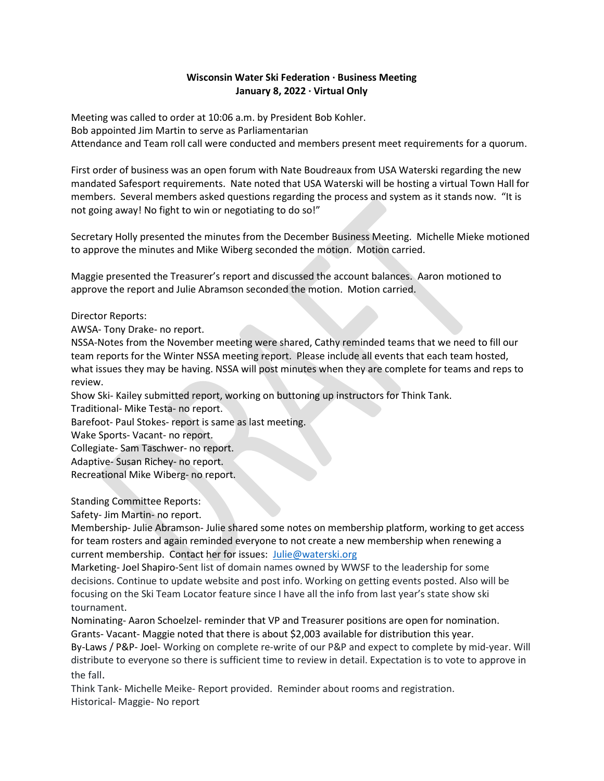#### Wisconsin Water Ski Federation · Business Meeting January 8, 2022 · Virtual Only

Meeting was called to order at 10:06 a.m. by President Bob Kohler. Bob appointed Jim Martin to serve as Parliamentarian Attendance and Team roll call were conducted and members present meet requirements for a quorum.

First order of business was an open forum with Nate Boudreaux from USA Waterski regarding the new mandated Safesport requirements. Nate noted that USA Waterski will be hosting a virtual Town Hall for members. Several members asked questions regarding the process and system as it stands now. "It is not going away! No fight to win or negotiating to do so!"

Secretary Holly presented the minutes from the December Business Meeting. Michelle Mieke motioned to approve the minutes and Mike Wiberg seconded the motion. Motion carried.

Maggie presented the Treasurer's report and discussed the account balances. Aaron motioned to approve the report and Julie Abramson seconded the motion. Motion carried.

Director Reports:

AWSA- Tony Drake- no report.

NSSA-Notes from the November meeting were shared, Cathy reminded teams that we need to fill our team reports for the Winter NSSA meeting report. Please include all events that each team hosted, what issues they may be having. NSSA will post minutes when they are complete for teams and reps to review.

Show Ski- Kailey submitted report, working on buttoning up instructors for Think Tank.

Traditional- Mike Testa- no report.

Barefoot- Paul Stokes- report is same as last meeting.

Wake Sports- Vacant- no report.

Collegiate- Sam Taschwer- no report.

Adaptive- Susan Richey- no report.

Recreational Mike Wiberg- no report.

Standing Committee Reports:

Safety- Jim Martin- no report.

Membership- Julie Abramson- Julie shared some notes on membership platform, working to get access for team rosters and again reminded everyone to not create a new membership when renewing a current membership. Contact her for issues: Julie@waterski.org

Marketing- Joel Shapiro-Sent list of domain names owned by WWSF to the leadership for some decisions. Continue to update website and post info. Working on getting events posted. Also will be focusing on the Ski Team Locator feature since I have all the info from last year's state show ski tournament.

Nominating- Aaron Schoelzel- reminder that VP and Treasurer positions are open for nomination. Grants- Vacant- Maggie noted that there is about \$2,003 available for distribution this year.

By-Laws / P&P- Joel- Working on complete re-write of our P&P and expect to complete by mid-year. Will distribute to everyone so there is sufficient time to review in detail. Expectation is to vote to approve in the fall.

Think Tank- Michelle Meike- Report provided. Reminder about rooms and registration. Historical- Maggie- No report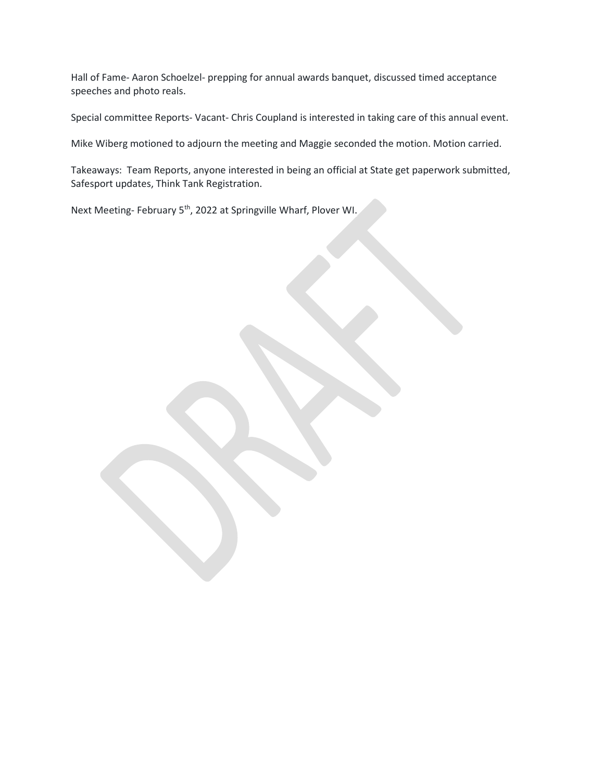Hall of Fame- Aaron Schoelzel- prepping for annual awards banquet, discussed timed acceptance speeches and photo reals.

Special committee Reports- Vacant- Chris Coupland is interested in taking care of this annual event.

Mike Wiberg motioned to adjourn the meeting and Maggie seconded the motion. Motion carried.

Takeaways: Team Reports, anyone interested in being an official at State get paperwork submitted, Safesport updates, Think Tank Registration.

Next Meeting- February 5<sup>th</sup>, 2022 at Springville Wharf, Plover WI.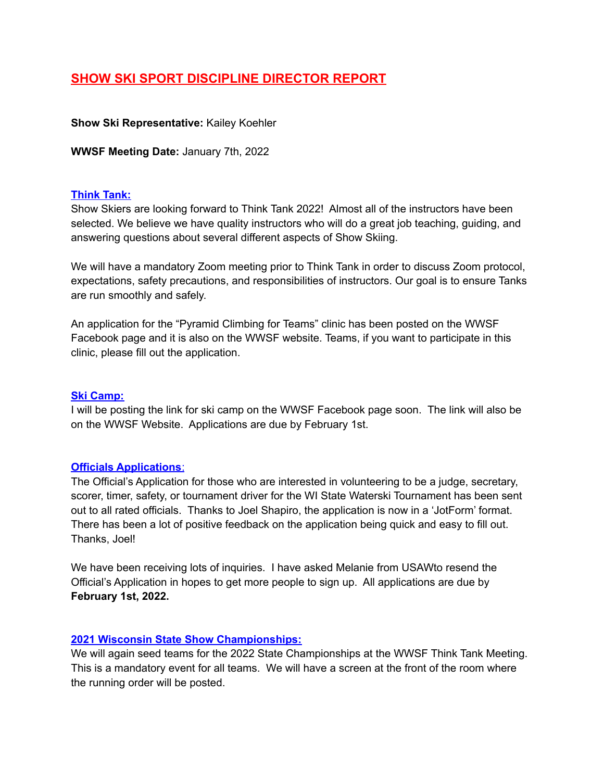# **SHOW SKI SPORT DISCIPLINE DIRECTOR REPORT**

### **Show Ski Representative:** Kailey Koehler

**WWSF Meeting Date:** January 7th, 2022

### **Think Tank:**

Show Skiers are looking forward to Think Tank 2022! Almost all of the instructors have been selected. We believe we have quality instructors who will do a great job teaching, guiding, and answering questions about several different aspects of Show Skiing.

We will have a mandatory Zoom meeting prior to Think Tank in order to discuss Zoom protocol, expectations, safety precautions, and responsibilities of instructors. Our goal is to ensure Tanks are run smoothly and safely.

An application for the "Pyramid Climbing for Teams" clinic has been posted on the WWSF Facebook page and it is also on the WWSF website. Teams, if you want to participate in this clinic, please fill out the application.

### **Ski Camp:**

I will be posting the link for ski camp on the WWSF Facebook page soon. The link will also be on the WWSF Website. Applications are due by February 1st.

### **Officials Applications**:

The Official's Application for those who are interested in volunteering to be a judge, secretary, scorer, timer, safety, or tournament driver for the WI State Waterski Tournament has been sent out to all rated officials. Thanks to Joel Shapiro, the application is now in a 'JotForm' format. There has been a lot of positive feedback on the application being quick and easy to fill out. Thanks, Joel!

We have been receiving lots of inquiries. I have asked Melanie from USAWto resend the Official's Application in hopes to get more people to sign up. All applications are due by **February 1st, 2022.**

# **2021 Wisconsin State Show Championships:**

We will again seed teams for the 2022 State Championships at the WWSF Think Tank Meeting. This is a mandatory event for all teams. We will have a screen at the front of the room where the running order will be posted.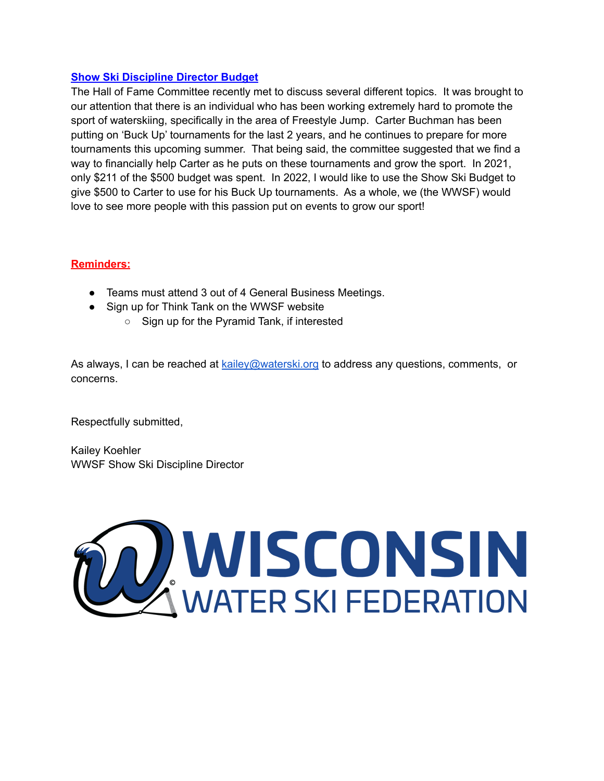### **Show Ski Discipline Director Budget**

The Hall of Fame Committee recently met to discuss several different topics. It was brought to our attention that there is an individual who has been working extremely hard to promote the sport of waterskiing, specifically in the area of Freestyle Jump. Carter Buchman has been putting on 'Buck Up' tournaments for the last 2 years, and he continues to prepare for more tournaments this upcoming summer. That being said, the committee suggested that we find a way to financially help Carter as he puts on these tournaments and grow the sport. In 2021, only \$211 of the \$500 budget was spent. In 2022, I would like to use the Show Ski Budget to give \$500 to Carter to use for his Buck Up tournaments. As a whole, we (the WWSF) would love to see more people with this passion put on events to grow our sport!

# **Reminders:**

- Teams must attend 3 out of 4 General Business Meetings.
- Sign up for Think Tank on the WWSF website
	- Sign up for the Pyramid Tank, if interested

As always, I can be reached at [kailey@waterski.org](mailto:kailey@waterski.org) to address any questions, comments, or concerns.

Respectfully submitted,

Kailey Koehler WWSF Show Ski Discipline Director

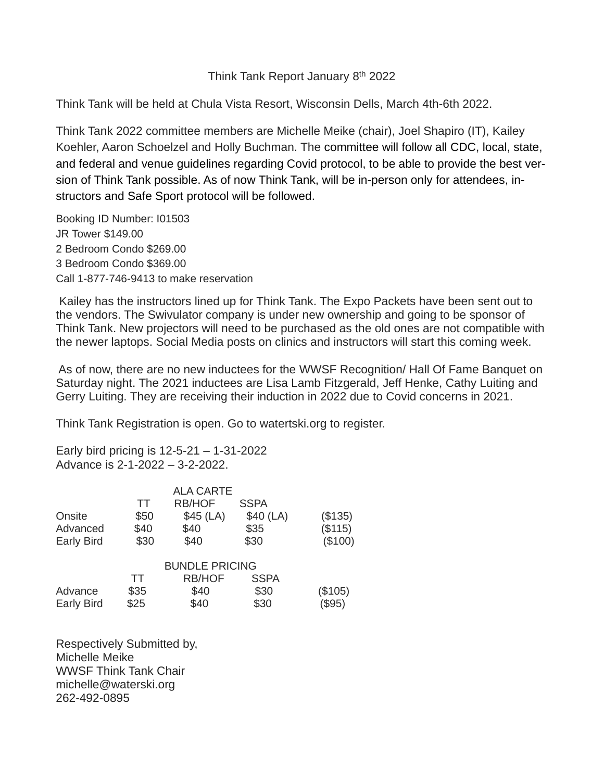# Think Tank Report January 8th 2022

Think Tank will be held at Chula Vista Resort, Wisconsin Dells, March 4th-6th 2022.

Think Tank 2022 committee members are Michelle Meike (chair), Joel Shapiro (IT), Kailey Koehler, Aaron Schoelzel and Holly Buchman. The committee will follow all CDC, local, state, and federal and venue guidelines regarding Covid protocol, to be able to provide the best version of Think Tank possible. As of now Think Tank, will be in-person only for attendees, instructors and Safe Sport protocol will be followed.

Booking ID Number: I01503 JR Tower \$149.00 2 Bedroom Condo \$269.00 3 Bedroom Condo \$369.00 Call 1-877-746-9413 to make reservation

Kailey has the instructors lined up for Think Tank. The Expo Packets have been sent out to the vendors. The Swivulator company is under new ownership and going to be sponsor of Think Tank. New projectors will need to be purchased as the old ones are not compatible with the newer laptops. Social Media posts on clinics and instructors will start this coming week.

As of now, there are no new inductees for the WWSF Recognition/ Hall Of Fame Banquet on Saturday night. The 2021 inductees are Lisa Lamb Fitzgerald, Jeff Henke, Cathy Luiting and Gerry Luiting. They are receiving their induction in 2022 due to Covid concerns in 2021.

Think Tank Registration is open. Go to watertski.org to register.

Early bird pricing is 12-5-21 – 1-31-2022 Advance is 2-1-2022 – 3-2-2022.

|           | <b>ALA CARTE</b> |             |                       |
|-----------|------------------|-------------|-----------------------|
| <b>TT</b> | <b>RB/HOF</b>    | <b>SSPA</b> |                       |
| \$50      | $$45$ (LA)       | \$40(LA)    | (\$135)               |
| \$40      | \$40             | \$35        | (\$115)               |
| \$30      | \$40             | \$30        | (\$100)               |
|           |                  |             |                       |
| <b>TT</b> | <b>RB/HOF</b>    | <b>SSPA</b> |                       |
| \$35      | \$40             | \$30        | (\$105)               |
| \$25      | \$40             | \$30        | \$95)                 |
|           |                  |             | <b>BUNDLE PRICING</b> |

Respectively Submitted by, Michelle Meike WWSF Think Tank Chair [michelle@waterski.org](mailto:michelle@waterski.org) 262-492-0895